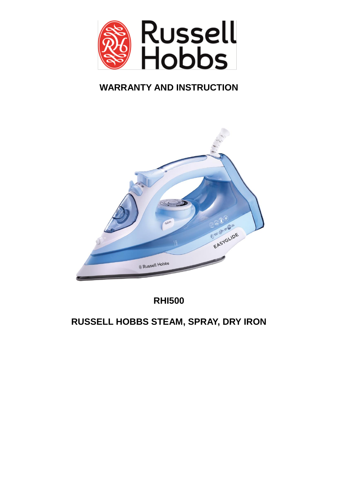

# **WARRANTY AND INSTRUCTION**



**RHI500**

**RUSSELL HOBBS STEAM, SPRAY, DRY IRON**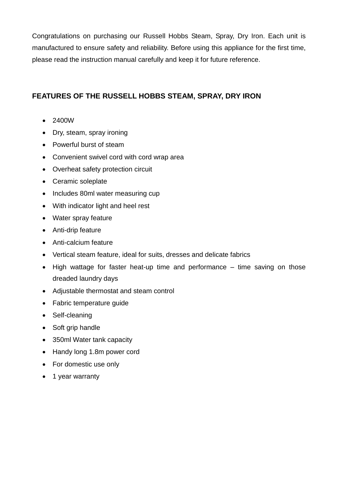Congratulations on purchasing our Russell Hobbs Steam, Spray, Dry Iron. Each unit is manufactured to ensure safety and reliability. Before using this appliance for the first time, please read the instruction manual carefully and keep it for future reference.

## **FEATURES OF THE RUSSELL HOBBS STEAM, SPRAY, DRY IRON**

- 2400W
- Dry, steam, spray ironing
- Powerful burst of steam
- Convenient swivel cord with cord wrap area
- Overheat safety protection circuit
- Ceramic soleplate
- Includes 80ml water measuring cup
- With indicator light and heel rest
- Water spray feature
- Anti-drip feature
- Anti-calcium feature
- Vertical steam feature, ideal for suits, dresses and delicate fabrics
- High wattage for faster heat-up time and performance time saving on those dreaded laundry days
- Adjustable thermostat and steam control
- Fabric temperature quide
- Self-cleaning
- Soft grip handle
- 350ml Water tank capacity
- Handy long 1.8m power cord
- For domestic use only
- 1 year warranty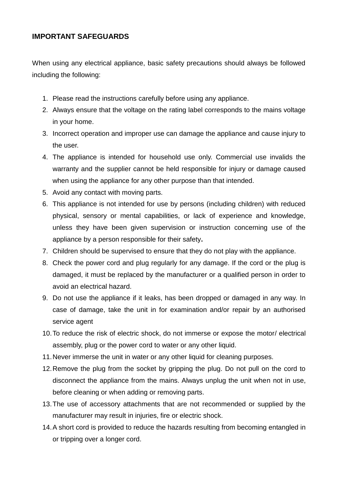## **IMPORTANT SAFEGUARDS**

When using any electrical appliance, basic safety precautions should always be followed including the following:

- 1. Please read the instructions carefully before using any appliance.
- 2. Always ensure that the voltage on the rating label corresponds to the mains voltage in your home.
- 3. Incorrect operation and improper use can damage the appliance and cause injury to the user.
- 4. The appliance is intended for household use only. Commercial use invalids the warranty and the supplier cannot be held responsible for injury or damage caused when using the appliance for any other purpose than that intended.
- 5. Avoid any contact with moving parts.
- 6. This appliance is not intended for use by persons (including children) with reduced physical, sensory or mental capabilities, or lack of experience and knowledge, unless they have been given supervision or instruction concerning use of the appliance by a person responsible for their safety**.**
- 7. Children should be supervised to ensure that they do not play with the appliance.
- 8. Check the power cord and plug regularly for any damage. If the cord or the plug is damaged, it must be replaced by the manufacturer or a qualified person in order to avoid an electrical hazard.
- 9. Do not use the appliance if it leaks, has been dropped or damaged in any way. In case of damage, take the unit in for examination and/or repair by an authorised service agent
- 10.To reduce the risk of electric shock, do not immerse or expose the motor/ electrical assembly, plug or the power cord to water or any other liquid.
- 11.Never immerse the unit in water or any other liquid for cleaning purposes.
- 12.Remove the plug from the socket by gripping the plug. Do not pull on the cord to disconnect the appliance from the mains. Always unplug the unit when not in use, before cleaning or when adding or removing parts.
- 13.The use of accessory attachments that are not recommended or supplied by the manufacturer may result in injuries, fire or electric shock.
- 14.A short cord is provided to reduce the hazards resulting from becoming entangled in or tripping over a longer cord.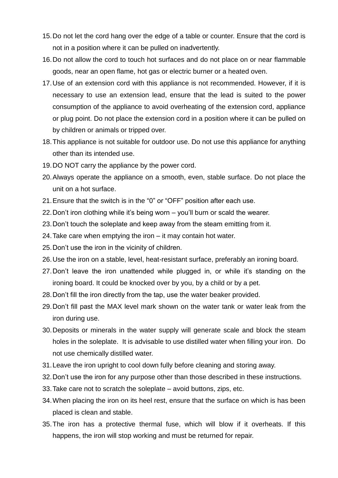- 15.Do not let the cord hang over the edge of a table or counter. Ensure that the cord is not in a position where it can be pulled on inadvertently.
- 16.Do not allow the cord to touch hot surfaces and do not place on or near flammable goods, near an open flame, hot gas or electric burner or a heated oven.
- 17.Use of an extension cord with this appliance is not recommended. However, if it is necessary to use an extension lead, ensure that the lead is suited to the power consumption of the appliance to avoid overheating of the extension cord, appliance or plug point. Do not place the extension cord in a position where it can be pulled on by children or animals or tripped over.
- 18.This appliance is not suitable for outdoor use. Do not use this appliance for anything other than its intended use.
- 19.DO NOT carry the appliance by the power cord.
- 20.Always operate the appliance on a smooth, even, stable surface. Do not place the unit on a hot surface.
- 21.Ensure that the switch is in the "0" or "OFF" position after each use.
- 22.Don't iron clothing while it's being worn you'll burn or scald the wearer.
- 23.Don't touch the soleplate and keep away from the steam emitting from it.
- 24.Take care when emptying the iron it may contain hot water.
- 25.Don't use the iron in the vicinity of children.
- 26.Use the iron on a stable, level, heat-resistant surface, preferably an ironing board.
- 27.Don't leave the iron unattended while plugged in, or while it's standing on the ironing board. It could be knocked over by you, by a child or by a pet.
- 28.Don't fill the iron directly from the tap, use the water beaker provided.
- 29.Don't fill past the MAX level mark shown on the water tank or water leak from the iron during use.
- 30.Deposits or minerals in the water supply will generate scale and block the steam holes in the soleplate. It is advisable to use distilled water when filling your iron. Do not use chemically distilled water.
- 31.Leave the iron upright to cool down fully before cleaning and storing away.
- 32.Don't use the iron for any purpose other than those described in these instructions.
- 33.Take care not to scratch the soleplate avoid buttons, zips, etc.
- 34.When placing the iron on its heel rest, ensure that the surface on which is has been placed is clean and stable.
- 35.The iron has a protective thermal fuse, which will blow if it overheats. If this happens, the iron will stop working and must be returned for repair.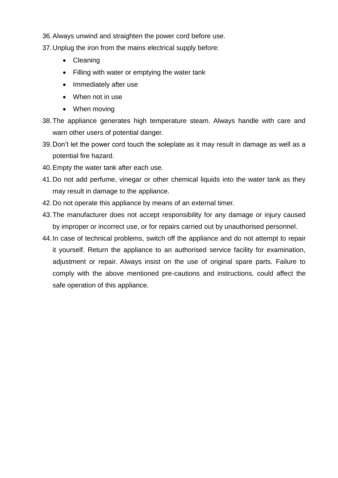- 36.Always unwind and straighten the power cord before use.
- 37.Unplug the iron from the mains electrical supply before:
	- Cleaning
	- Filling with water or emptying the water tank
	- Immediately after use
	- When not in use
	- When moving
- 38.The appliance generates high temperature steam. Always handle with care and warn other users of potential danger.
- 39.Don't let the power cord touch the soleplate as it may result in damage as well as a potential fire hazard.
- 40.Empty the water tank after each use.
- 41.Do not add perfume, vinegar or other chemical liquids into the water tank as they may result in damage to the appliance.
- 42.Do not operate this appliance by means of an external timer.
- 43.The manufacturer does not accept responsibility for any damage or injury caused by improper or incorrect use, or for repairs carried out by unauthorised personnel.
- 44.In case of technical problems, switch off the appliance and do not attempt to repair it yourself. Return the appliance to an authorised service facility for examination, adjustment or repair. Always insist on the use of original spare parts. Failure to comply with the above mentioned pre-cautions and instructions, could affect the safe operation of this appliance.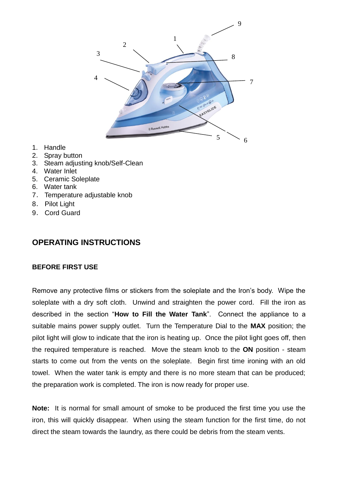

- 1. Handle
- 2. Spray button
- 3. Steam adjusting knob/Self-Clean
- 4. Water Inlet
- 5. Ceramic Soleplate
- 6. Water tank
- 7. Temperature adjustable knob
- 8. Pilot Light
- 9. Cord Guard

## **OPERATING INSTRUCTIONS**

## **BEFORE FIRST USE**

Remove any protective films or stickers from the soleplate and the Iron's body. Wipe the soleplate with a dry soft cloth. Unwind and straighten the power cord. Fill the iron as described in the section "**How to Fill the Water Tank**". Connect the appliance to a suitable mains power supply outlet. Turn the Temperature Dial to the **MAX** position; the pilot light will glow to indicate that the iron is heating up. Once the pilot light goes off, then the required temperature is reached. Move the steam knob to the **ON** position - steam starts to come out from the vents on the soleplate. Begin first time ironing with an old towel. When the water tank is empty and there is no more steam that can be produced; the preparation work is completed. The iron is now ready for proper use.

**Note:** It is normal for small amount of smoke to be produced the first time you use the iron, this will quickly disappear. When using the steam function for the first time, do not direct the steam towards the laundry, as there could be debris from the steam vents.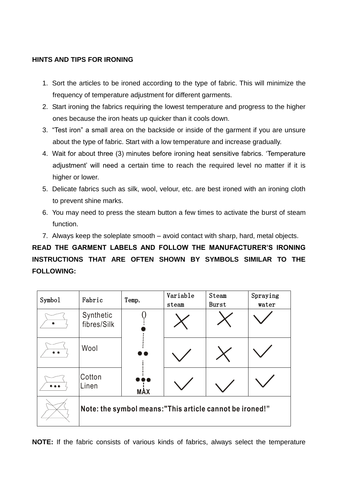## **HINTS AND TIPS FOR IRONING**

- 1. Sort the articles to be ironed according to the type of fabric. This will minimize the frequency of temperature adjustment for different garments.
- 2. Start ironing the fabrics requiring the lowest temperature and progress to the higher ones because the iron heats up quicker than it cools down.
- 3. "Test iron" a small area on the backside or inside of the garment if you are unsure about the type of fabric. Start with a low temperature and increase gradually.
- 4. Wait for about three (3) minutes before ironing heat sensitive fabrics. 'Temperature adjustment' will need a certain time to reach the required level no matter if it is higher or lower.
- 5. Delicate fabrics such as silk, wool, velour, etc. are best ironed with an ironing cloth to prevent shine marks.
- 6. You may need to press the steam button a few times to activate the burst of steam function.
- 7. Always keep the soleplate smooth avoid contact with sharp, hard, metal objects.

**READ THE GARMENT LABELS AND FOLLOW THE MANUFACTURER'S IRONING INSTRUCTIONS THAT ARE OFTEN SHOWN BY SYMBOLS SIMILAR TO THE FOLLOWING:**

| Symbol | Fabric                                                  | Temp.      | Variable<br>steam | Steam<br>Burst | Spraying<br>water |  |
|--------|---------------------------------------------------------|------------|-------------------|----------------|-------------------|--|
|        | Synthetic<br>fibres/Silk                                |            |                   |                |                   |  |
| . .    | Wool                                                    |            |                   |                |                   |  |
|        | Cotton<br>Linen                                         | <b>MAX</b> |                   |                |                   |  |
|        | Note: the symbol means:"This article cannot be ironed!" |            |                   |                |                   |  |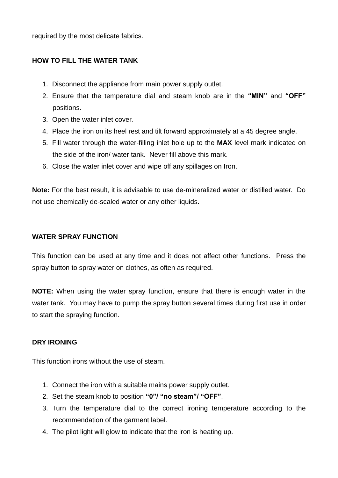required by the most delicate fabrics.

### **HOW TO FILL THE WATER TANK**

- 1. Disconnect the appliance from main power supply outlet.
- 2. Ensure that the temperature dial and steam knob are in the **"MIN"** and **"OFF"**  positions.
- 3. Open the water inlet cover.
- 4. Place the iron on its heel rest and tilt forward approximately at a 45 degree angle.
- 5. Fill water through the water-filling inlet hole up to the **MAX** level mark indicated on the side of the iron/ water tank. Never fill above this mark.
- 6. Close the water inlet cover and wipe off any spillages on Iron.

**Note:** For the best result, it is advisable to use de-mineralized water or distilled water. Do not use chemically de-scaled water or any other liquids.

#### **WATER SPRAY FUNCTION**

This function can be used at any time and it does not affect other functions. Press the spray button to spray water on clothes, as often as required.

**NOTE:** When using the water spray function, ensure that there is enough water in the water tank. You may have to pump the spray button several times during first use in order to start the spraying function.

#### **DRY IRONING**

This function irons without the use of steam.

- 1. Connect the iron with a suitable mains power supply outlet.
- 2. Set the steam knob to position **"0"/ "no steam"/ "OFF"**.
- 3. Turn the temperature dial to the correct ironing temperature according to the recommendation of the garment label.
- 4. The pilot light will glow to indicate that the iron is heating up.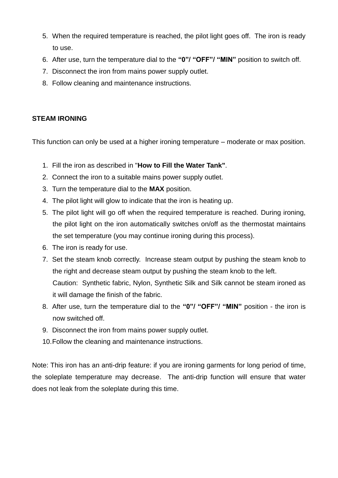- 5. When the required temperature is reached, the pilot light goes off. The iron is ready to use.
- 6. After use, turn the temperature dial to the **"0"/ "OFF"/ "MIN"** position to switch off.
- 7. Disconnect the iron from mains power supply outlet.
- 8. Follow cleaning and maintenance instructions.

### **STEAM IRONING**

This function can only be used at a higher ironing temperature – moderate or max position.

- 1. Fill the iron as described in "**How to Fill the Water Tank"**.
- 2. Connect the iron to a suitable mains power supply outlet.
- 3. Turn the temperature dial to the **MAX** position.
- 4. The pilot light will glow to indicate that the iron is heating up.
- 5. The pilot light will go off when the required temperature is reached. During ironing, the pilot light on the iron automatically switches on/off as the thermostat maintains the set temperature (you may continue ironing during this process).
- 6. The iron is ready for use.
- 7. Set the steam knob correctly. Increase steam output by pushing the steam knob to the right and decrease steam output by pushing the steam knob to the left. Caution: Synthetic fabric, Nylon, Synthetic Silk and Silk cannot be steam ironed as it will damage the finish of the fabric.
- 8. After use, turn the temperature dial to the **"0"/ "OFF"/ "MIN"** position the iron is now switched off.
- 9. Disconnect the iron from mains power supply outlet.
- 10.Follow the cleaning and maintenance instructions.

Note: This iron has an anti-drip feature: if you are ironing garments for long period of time, the soleplate temperature may decrease. The anti-drip function will ensure that water does not leak from the soleplate during this time.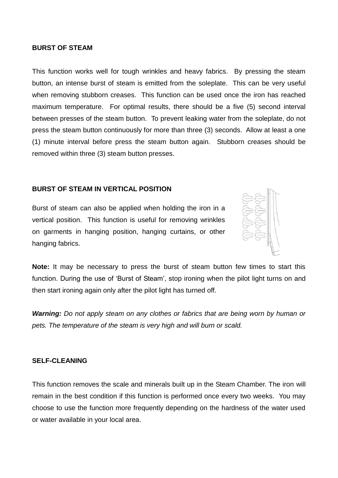#### **BURST OF STEAM**

This function works well for tough wrinkles and heavy fabrics. By pressing the steam button, an intense burst of steam is emitted from the soleplate. This can be very useful when removing stubborn creases. This function can be used once the iron has reached maximum temperature. For optimal results, there should be a five (5) second interval between presses of the steam button. To prevent leaking water from the soleplate, do not press the steam button continuously for more than three (3) seconds. Allow at least a one (1) minute interval before press the steam button again. Stubborn creases should be removed within three (3) steam button presses.

#### **BURST OF STEAM IN VERTICAL POSITION**

Burst of steam can also be applied when holding the iron in a vertical position. This function is useful for removing wrinkles on garments in hanging position, hanging curtains, or other hanging fabrics.



**Note:** It may be necessary to press the burst of steam button few times to start this function. During the use of 'Burst of Steam', stop ironing when the pilot light turns on and then start ironing again only after the pilot light has turned off.

*Warning: Do not apply steam on any clothes or fabrics that are being worn by human or pets. The temperature of the steam is very high and will burn or scald.*

#### **SELF-CLEANING**

This function removes the scale and minerals built up in the Steam Chamber. The iron will remain in the best condition if this function is performed once every two weeks. You may choose to use the function more frequently depending on the hardness of the water used or water available in your local area.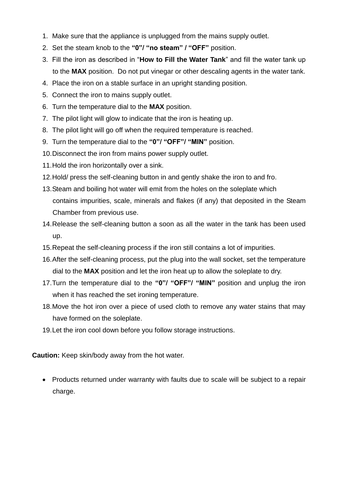- 1. Make sure that the appliance is unplugged from the mains supply outlet.
- 2. Set the steam knob to the **"0"/ "no steam" / "OFF"** position.
- 3. Fill the iron as described in "**How to Fill the Water Tank**" and fill the water tank up to the **MAX** position. Do not put vinegar or other descaling agents in the water tank.
- 4. Place the iron on a stable surface in an upright standing position.
- 5. Connect the iron to mains supply outlet.
- 6. Turn the temperature dial to the **MAX** position.
- 7. The pilot light will glow to indicate that the iron is heating up.
- 8. The pilot light will go off when the required temperature is reached.
- 9. Turn the temperature dial to the **"0"/ "OFF"/ "MIN"** position.
- 10.Disconnect the iron from mains power supply outlet.
- 11.Hold the iron horizontally over a sink.
- 12.Hold/ press the self-cleaning button in and gently shake the iron to and fro.
- 13.Steam and boiling hot water will emit from the holes on the soleplate which contains impurities, scale, minerals and flakes (if any) that deposited in the Steam Chamber from previous use.
- 14.Release the self-cleaning button a soon as all the water in the tank has been used up.
- 15.Repeat the self-cleaning process if the iron still contains a lot of impurities.
- 16.After the self-cleaning process, put the plug into the wall socket, set the temperature dial to the **MAX** position and let the iron heat up to allow the soleplate to dry.
- 17.Turn the temperature dial to the **"0"/ "OFF"/ "MIN"** position and unplug the iron when it has reached the set ironing temperature.
- 18.Move the hot iron over a piece of used cloth to remove any water stains that may have formed on the soleplate.
- 19.Let the iron cool down before you follow storage instructions.

**Caution:** Keep skin/body away from the hot water.

• Products returned under warranty with faults due to scale will be subject to a repair charge.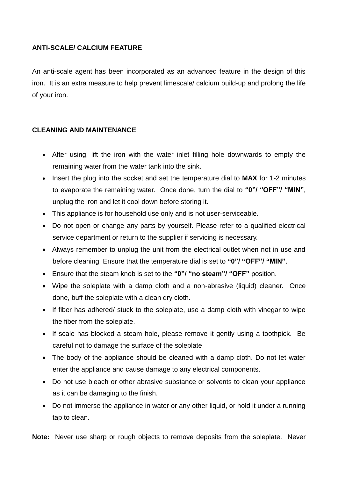## **ANTI-SCALE/ CALCIUM FEATURE**

An anti-scale agent has been incorporated as an advanced feature in the design of this iron. It is an extra measure to help prevent limescale/ calcium build-up and prolong the life of your iron.

## **CLEANING AND MAINTENANCE**

- After using, lift the iron with the water inlet filling hole downwards to empty the remaining water from the water tank into the sink.
- Insert the plug into the socket and set the temperature dial to **MAX** for 1-2 minutes to evaporate the remaining water. Once done, turn the dial to **"0"/ "OFF"/ "MIN"**, unplug the iron and let it cool down before storing it.
- This appliance is for household use only and is not user-serviceable.
- Do not open or change any parts by yourself. Please refer to a qualified electrical service department or return to the supplier if servicing is necessary.
- Always remember to unplug the unit from the electrical outlet when not in use and before cleaning. Ensure that the temperature dial is set to **"0"/ "OFF"/ "MIN"**.
- Ensure that the steam knob is set to the **"0"/ "no steam"/ "OFF"** position.
- Wipe the soleplate with a damp cloth and a non-abrasive (liquid) cleaner. Once done, buff the soleplate with a clean dry cloth.
- If fiber has adhered/ stuck to the soleplate, use a damp cloth with vinegar to wipe the fiber from the soleplate.
- If scale has blocked a steam hole, please remove it gently using a toothpick. Be careful not to damage the surface of the soleplate
- The body of the appliance should be cleaned with a damp cloth. Do not let water enter the appliance and cause damage to any electrical components.
- Do not use bleach or other abrasive substance or solvents to clean your appliance as it can be damaging to the finish.
- Do not immerse the appliance in water or any other liquid, or hold it under a running tap to clean.

**Note:** Never use sharp or rough objects to remove deposits from the soleplate. Never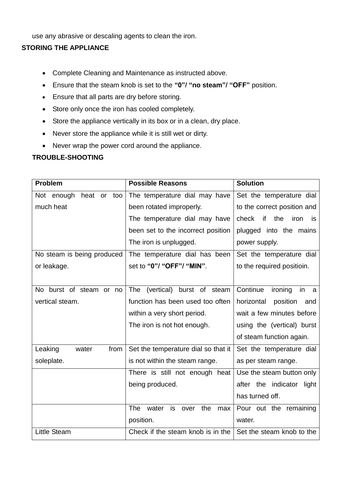use any abrasive or descaling agents to clean the iron.

## **STORING THE APPLIANCE**

- Complete Cleaning and Maintenance as instructed above.
- Ensure that the steam knob is set to the **"0"/ "no steam"/ "OFF"** position.
- Ensure that all parts are dry before storing.
- Store only once the iron has cooled completely.
- Store the appliance vertically in its box or in a clean, dry place.
- Never store the appliance while it is still wet or dirty.
- Never wrap the power cord around the appliance.

## **TROUBLE-SHOOTING**

| <b>Problem</b>               | <b>Possible Reasons</b>                         | <b>Solution</b>                  |
|------------------------------|-------------------------------------------------|----------------------------------|
| Not enough<br>heat or<br>too | The temperature dial may have                   | Set the temperature dial         |
| much heat                    | been rotated improperly.                        | to the correct position and      |
|                              | The temperature dial may have                   | if<br>check<br>the<br>iron<br>is |
|                              | been set to the incorrect position              | plugged into the mains           |
|                              | The iron is unplugged.                          | power supply.                    |
| No steam is being produced   | The temperature dial has been                   | Set the temperature dial         |
| or leakage.                  | set to "0"/ "OFF"/ "MIN".                       | to the required positioin.       |
|                              |                                                 |                                  |
| burst of steam or no<br>No   | <b>The</b><br>(vertical)<br>burst of steam      | Continue<br>ironing<br>in<br>a   |
| vertical steam.              | function has been used too often                | horizontal<br>position<br>and    |
|                              | within a very short period.                     | wait a few minutes before        |
|                              | The iron is not hot enough.                     | using the (vertical) burst       |
|                              |                                                 | of steam function again.         |
| Leaking<br>water<br>from     | Set the temperature dial so that it             | Set the temperature dial         |
| soleplate.                   | is not within the steam range.                  | as per steam range.              |
|                              | There is still not enough heat                  | Use the steam button only        |
|                              | being produced.                                 | after the indicator<br>light     |
|                              |                                                 | has turned off.                  |
|                              | the<br><b>The</b><br>is<br>water<br>over<br>max | Pour out the remaining           |
|                              | position.                                       | water.                           |
| <b>Little Steam</b>          | Check if the steam knob is in the               | Set the steam knob to the        |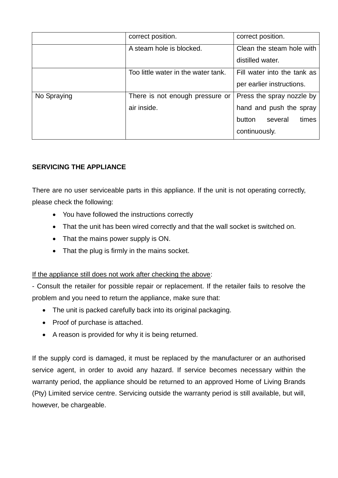|             | correct position.                   | correct position.           |
|-------------|-------------------------------------|-----------------------------|
|             | A steam hole is blocked.            | Clean the steam hole with   |
|             |                                     | distilled water.            |
|             | Too little water in the water tank. | Fill water into the tank as |
|             |                                     | per earlier instructions.   |
| No Spraying | There is not enough pressure or     | Press the spray nozzle by   |
|             | air inside.                         | hand and push the spray     |
|             |                                     | times<br>button<br>several  |
|             |                                     | continuously.               |

## **SERVICING THE APPLIANCE**

There are no user serviceable parts in this appliance. If the unit is not operating correctly, please check the following:

- You have followed the instructions correctly
- That the unit has been wired correctly and that the wall socket is switched on.
- That the mains power supply is ON.
- That the plug is firmly in the mains socket.

## If the appliance still does not work after checking the above:

- Consult the retailer for possible repair or replacement. If the retailer fails to resolve the problem and you need to return the appliance, make sure that:

- The unit is packed carefully back into its original packaging.
- Proof of purchase is attached.
- A reason is provided for why it is being returned.

If the supply cord is damaged, it must be replaced by the manufacturer or an authorised service agent, in order to avoid any hazard. If service becomes necessary within the warranty period, the appliance should be returned to an approved Home of Living Brands (Pty) Limited service centre. Servicing outside the warranty period is still available, but will, however, be chargeable.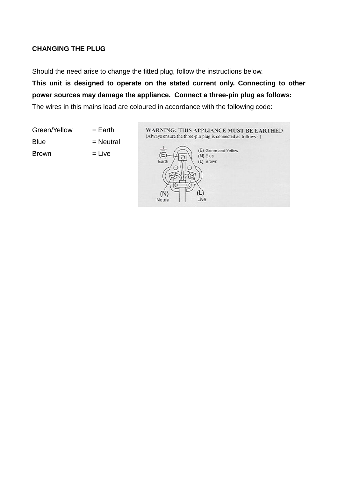## **CHANGING THE PLUG**

Should the need arise to change the fitted plug, follow the instructions below.

**This unit is designed to operate on the stated current only. Connecting to other power sources may damage the appliance. Connect a three-pin plug as follows:** The wires in this mains lead are coloured in accordance with the following code:

Green/Yellow = Earth  $Blue$  = Neutral  $Brown$   $= Live$